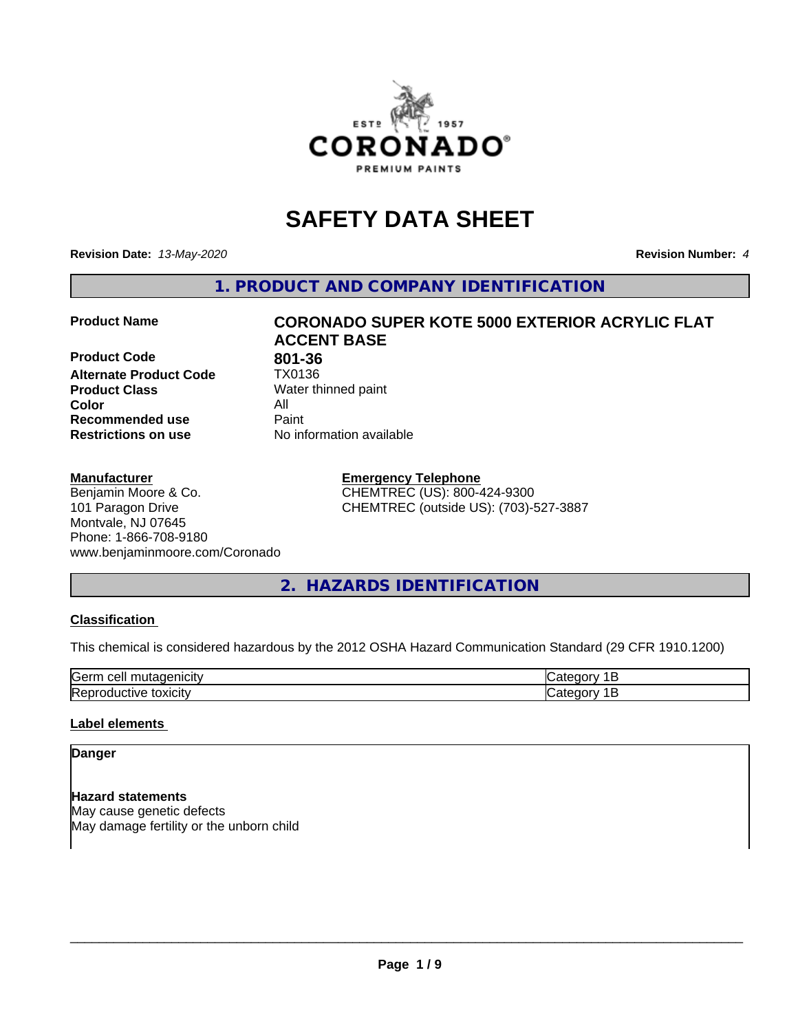

# **SAFETY DATA SHEET**

**Revision Date:** *13-May-2020* **Revision Number:** *4*

**1. PRODUCT AND COMPANY IDENTIFICATION**

**Product Code 801-36**<br>**Alternate Product Code 1X0136 Alternate Product Code Product Class** Water thinned paint<br> **Color** All **Color** All **Recommended use Caint Restrictions on use** No information available

### **Manufacturer**

Benjamin Moore & Co. 101 Paragon Drive Montvale, NJ 07645 Phone: 1-866-708-9180 www.benjaminmoore.com/Coronado

# **Product Name CORONADO SUPER KOTE 5000 EXTERIOR ACRYLIC FLAT ACCENT BASE**

**Emergency Telephone** CHEMTREC (US): 800-424-9300 CHEMTREC (outside US): (703)-527-3887

# **2. HAZARDS IDENTIFICATION**

### **Classification**

This chemical is considered hazardous by the 2012 OSHA Hazard Communication Standard (29 CFR 1910.1200)

| Gerr<br>.                                          |  |
|----------------------------------------------------|--|
| m<br>$\cdots$<br>IR AI<br>ш<br>ш<br><b>JAIGILY</b> |  |

### **Label elements**

# **Danger**

**Hazard statements** May cause genetic defects May damage fertility or the unborn child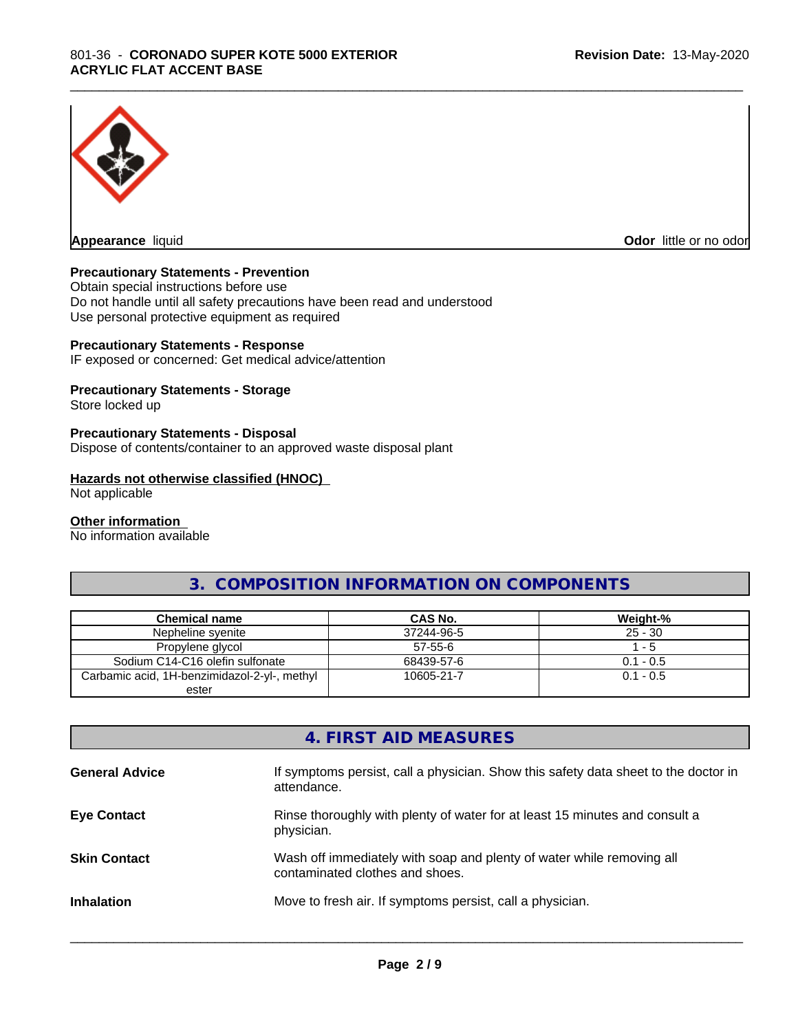

**Appearance** liquid **Odor in the original of the original of the original of the original of the original of the original of the original of the original of the original of the original of the original of the original of t** 

# **Precautionary Statements - Prevention**

Obtain special instructions before use Do not handle until all safety precautions have been read and understood Use personal protective equipment as required

### **Precautionary Statements - Response**

IF exposed or concerned: Get medical advice/attention

# **Precautionary Statements - Storage**

Store locked up

# **Precautionary Statements - Disposal**

Dispose of contents/container to an approved waste disposal plant

### **Hazards not otherwise classified (HNOC)**

Not applicable

#### **Other information**

No information available

# **3. COMPOSITION INFORMATION ON COMPONENTS**

\_\_\_\_\_\_\_\_\_\_\_\_\_\_\_\_\_\_\_\_\_\_\_\_\_\_\_\_\_\_\_\_\_\_\_\_\_\_\_\_\_\_\_\_\_\_\_\_\_\_\_\_\_\_\_\_\_\_\_\_\_\_\_\_\_\_\_\_\_\_\_\_\_\_\_\_\_\_\_\_\_\_\_\_\_\_\_\_\_\_\_\_\_

| Chemical name                                | CAS No.       | Weight-%    |
|----------------------------------------------|---------------|-------------|
| Nepheline syenite                            | 37244-96-5    | $25 - 30$   |
| Propylene glycol                             | $57 - 55 - 6$ | - 5         |
| Sodium C14-C16 olefin sulfonate              | 68439-57-6    | $0.1 - 0.5$ |
| Carbamic acid, 1H-benzimidazol-2-yl-, methyl | 10605-21-7    | $0.1 - 0.5$ |
| ester                                        |               |             |

# **4. FIRST AID MEASURES**

| <b>General Advice</b> | If symptoms persist, call a physician. Show this safety data sheet to the doctor in<br>attendance.       |
|-----------------------|----------------------------------------------------------------------------------------------------------|
| <b>Eye Contact</b>    | Rinse thoroughly with plenty of water for at least 15 minutes and consult a<br>physician.                |
| <b>Skin Contact</b>   | Wash off immediately with soap and plenty of water while removing all<br>contaminated clothes and shoes. |
| <b>Inhalation</b>     | Move to fresh air. If symptoms persist, call a physician.                                                |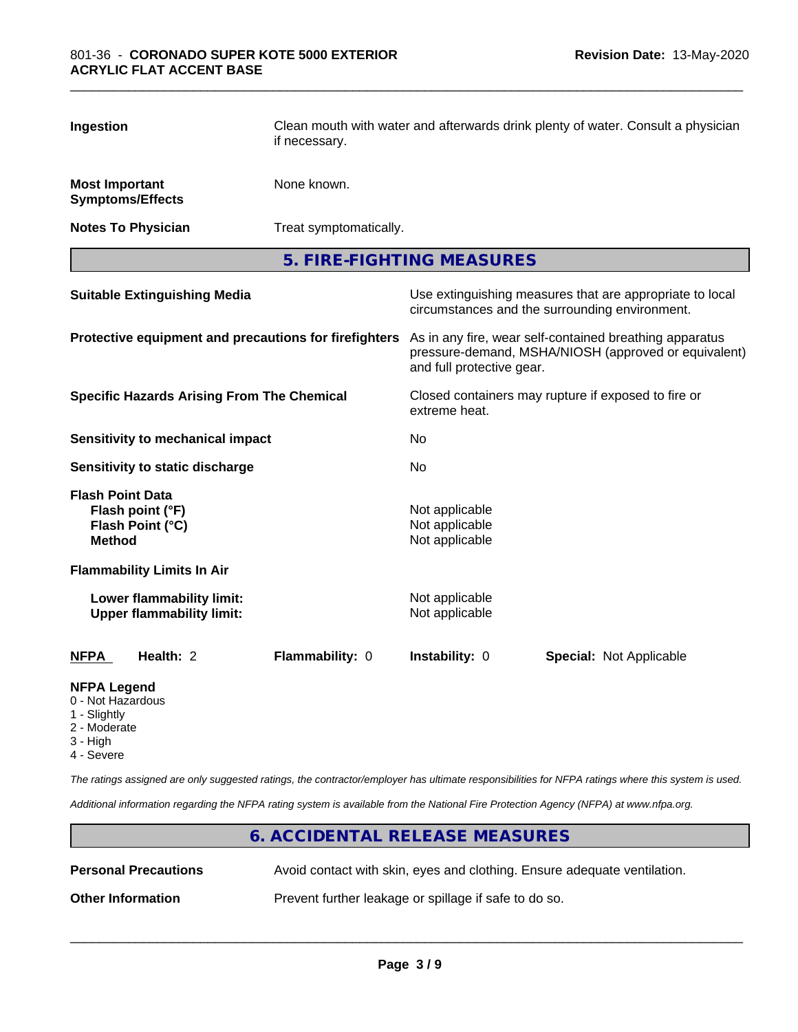| Ingestion                                                                        |  | Clean mouth with water and afterwards drink plenty of water. Consult a physician<br>if necessary. |                                                                                                                                              |  |                                |  |
|----------------------------------------------------------------------------------|--|---------------------------------------------------------------------------------------------------|----------------------------------------------------------------------------------------------------------------------------------------------|--|--------------------------------|--|
| <b>Most Important</b><br><b>Symptoms/Effects</b>                                 |  | None known.                                                                                       |                                                                                                                                              |  |                                |  |
| <b>Notes To Physician</b>                                                        |  | Treat symptomatically.                                                                            |                                                                                                                                              |  |                                |  |
|                                                                                  |  |                                                                                                   | 5. FIRE-FIGHTING MEASURES                                                                                                                    |  |                                |  |
| <b>Suitable Extinguishing Media</b>                                              |  |                                                                                                   | Use extinguishing measures that are appropriate to local<br>circumstances and the surrounding environment.                                   |  |                                |  |
|                                                                                  |  | Protective equipment and precautions for firefighters                                             | As in any fire, wear self-contained breathing apparatus<br>pressure-demand, MSHA/NIOSH (approved or equivalent)<br>and full protective gear. |  |                                |  |
| <b>Specific Hazards Arising From The Chemical</b>                                |  | Closed containers may rupture if exposed to fire or<br>extreme heat.                              |                                                                                                                                              |  |                                |  |
| <b>Sensitivity to mechanical impact</b>                                          |  |                                                                                                   | No                                                                                                                                           |  |                                |  |
| Sensitivity to static discharge                                                  |  |                                                                                                   | No                                                                                                                                           |  |                                |  |
| <b>Flash Point Data</b><br>Flash point (°F)<br>Flash Point (°C)<br><b>Method</b> |  |                                                                                                   | Not applicable<br>Not applicable<br>Not applicable                                                                                           |  |                                |  |
| <b>Flammability Limits In Air</b>                                                |  |                                                                                                   |                                                                                                                                              |  |                                |  |
| Lower flammability limit:<br><b>Upper flammability limit:</b>                    |  |                                                                                                   | Not applicable<br>Not applicable                                                                                                             |  |                                |  |
| <b>NFPA</b><br>Health: 2                                                         |  | Flammability: 0                                                                                   | Instability: 0                                                                                                                               |  | <b>Special: Not Applicable</b> |  |
| <b>NFPA Legend</b>                                                               |  |                                                                                                   |                                                                                                                                              |  |                                |  |

# 0 - Not Hazardous

- 
- 1 Slightly
- 2 Moderate
- 3 High
- 4 Severe

*The ratings assigned are only suggested ratings, the contractor/employer has ultimate responsibilities for NFPA ratings where this system is used.*

*Additional information regarding the NFPA rating system is available from the National Fire Protection Agency (NFPA) at www.nfpa.org.*

# **6. ACCIDENTAL RELEASE MEASURES Personal Precautions** Avoid contact with skin, eyes and clothing. Ensure adequate ventilation. **Other Information** Prevent further leakage or spillage if safe to do so.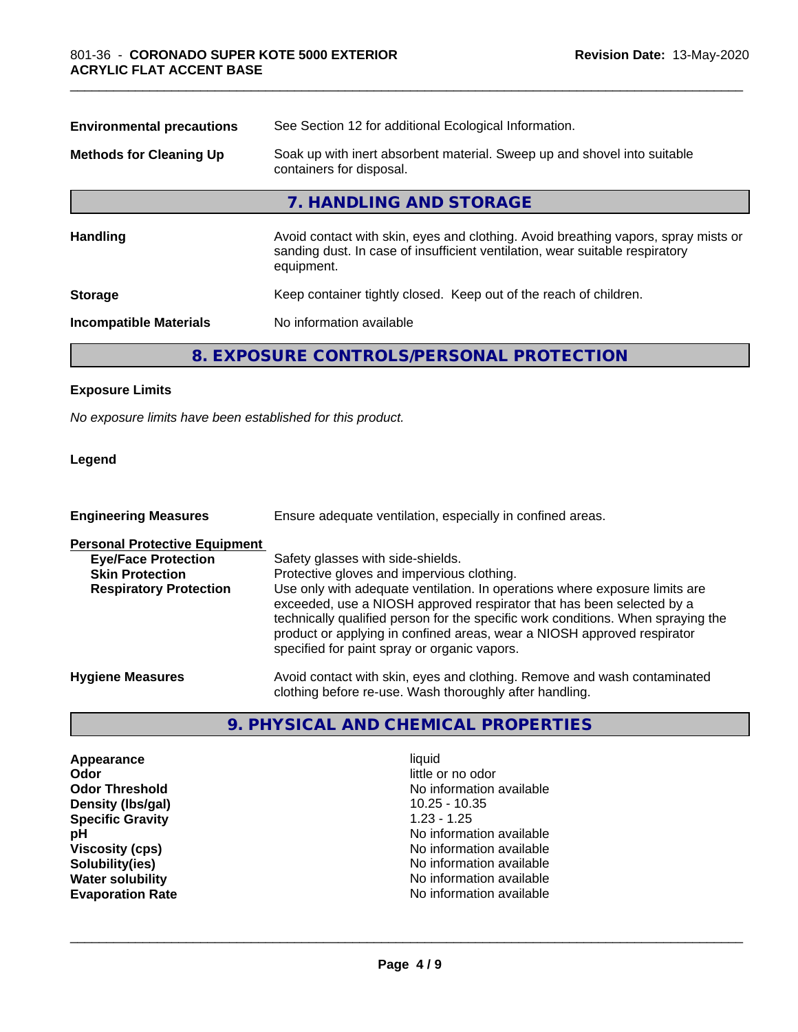| <b>Environmental precautions</b>                                                                                                       | See Section 12 for additional Ecological Information.                                                                                                                            |  |
|----------------------------------------------------------------------------------------------------------------------------------------|----------------------------------------------------------------------------------------------------------------------------------------------------------------------------------|--|
| Soak up with inert absorbent material. Sweep up and shovel into suitable<br><b>Methods for Cleaning Up</b><br>containers for disposal. |                                                                                                                                                                                  |  |
|                                                                                                                                        | 7. HANDLING AND STORAGE                                                                                                                                                          |  |
| <b>Handling</b>                                                                                                                        | Avoid contact with skin, eyes and clothing. Avoid breathing vapors, spray mists or<br>sanding dust. In case of insufficient ventilation, wear suitable respiratory<br>equipment. |  |
| <b>Storage</b>                                                                                                                         | Keep container tightly closed. Keep out of the reach of children.                                                                                                                |  |
| <b>Incompatible Materials</b>                                                                                                          | No information available                                                                                                                                                         |  |
|                                                                                                                                        | 8. EXPOSURE CONTROLS/PERSONAL PROTECTION                                                                                                                                         |  |

# **Exposure Limits**

*No exposure limits have been established for this product.*

# **Legend**

| <b>Engineering Measures</b>                                                                                                   | Ensure adequate ventilation, especially in confined areas.                                                                                                                                                                                                                                                                                                                                                                                             |
|-------------------------------------------------------------------------------------------------------------------------------|--------------------------------------------------------------------------------------------------------------------------------------------------------------------------------------------------------------------------------------------------------------------------------------------------------------------------------------------------------------------------------------------------------------------------------------------------------|
| <b>Personal Protective Equipment</b><br><b>Eye/Face Protection</b><br><b>Skin Protection</b><br><b>Respiratory Protection</b> | Safety glasses with side-shields.<br>Protective gloves and impervious clothing.<br>Use only with adequate ventilation. In operations where exposure limits are<br>exceeded, use a NIOSH approved respirator that has been selected by a<br>technically qualified person for the specific work conditions. When spraying the<br>product or applying in confined areas, wear a NIOSH approved respirator<br>specified for paint spray or organic vapors. |
| <b>Hygiene Measures</b>                                                                                                       | Avoid contact with skin, eyes and clothing. Remove and wash contaminated<br>clothing before re-use. Wash thoroughly after handling.                                                                                                                                                                                                                                                                                                                    |

# **9. PHYSICAL AND CHEMICAL PROPERTIES**

**Appearance** liquid **and a set of the contract of the contract of the contract of the contract of the contract of the contract of the contract of the contract of the contract of the contract of the contract of the contract Odor Odor** little or no odor<br> **Odor Threshold CODOR CODOR CODOR CODOR CODOR CODOR CODOR CODOR CODOR CODOR CODOR CODOR CODOR CODOR CODOR CODOR CODOR CODOR CODOR CODOR CODOR COD Density (Ibs/gal)** 10.25 - 10.35<br> **Specific Gravity** 1.23 - 1.25 **Specific Gravity**<br>pH

No information available<br>10.25 - 10.35 **No information available Viscosity (cps)** No information available **Solubility(ies)**<br> **Solubility**<br> **Water solubility**<br> **Water solubility**<br> **Water solubility**<br> **Water Solubility No information available Evaporation Rate No information available No information available**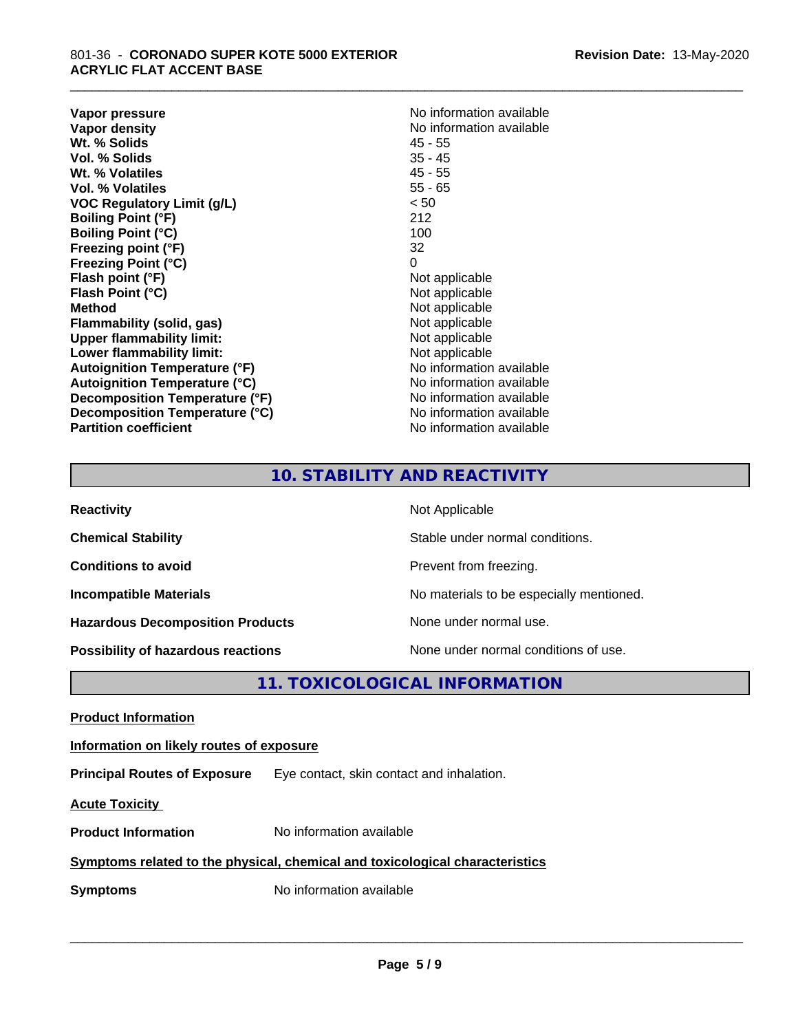**Vapor pressure** No information available<br> **Vapor density**<br> **Vapor density Wt. % Solids** 45 - 55 **Vol. % Solids Wt. % Volatiles** 45 - 55 **Vol. % Volatiles** 55 - 65 **VOC Regulatory Limit (g/L)** < 50 **Boiling Point (°F)** 212 **Boiling Point (°C)** 100 **Freezing point (°F)** 32 **Freezing Point (°C)** 0 **Flash point (°F)** Not applicable **Flash Point (°C)**<br> **Method** Not applicable<br>
Not applicable<br>
Not applicable **Flammability** (solid, gas) **Upper flammability limit:**<br> **Lower flammability limit:** Not applicable Not applicable **Lower flammability limit:**<br> **Autoignition Temperature (°F)** Not applicable havailable **Autoignition Temperature (°F) Autoignition Temperature (°C)**<br> **Decomposition Temperature (°F)** No information available **Decomposition Temperature (°F) Decomposition Temperature (°C)** No information available **Partition coefficient Contract Contract Contract Contract Contract Contract Contract Contract Contract Contract Contract Contract Contract Contract Contract Contract Contract Contract Contract Contract Contract Contract** 

**No information available**<br>45 - 55 **Not applicable**<br>Not applicable

\_\_\_\_\_\_\_\_\_\_\_\_\_\_\_\_\_\_\_\_\_\_\_\_\_\_\_\_\_\_\_\_\_\_\_\_\_\_\_\_\_\_\_\_\_\_\_\_\_\_\_\_\_\_\_\_\_\_\_\_\_\_\_\_\_\_\_\_\_\_\_\_\_\_\_\_\_\_\_\_\_\_\_\_\_\_\_\_\_\_\_\_\_

# **10. STABILITY AND REACTIVITY**

| <b>Reactivity</b>                         | Not Applicable                           |
|-------------------------------------------|------------------------------------------|
| <b>Chemical Stability</b>                 | Stable under normal conditions.          |
| <b>Conditions to avoid</b>                | Prevent from freezing.                   |
| <b>Incompatible Materials</b>             | No materials to be especially mentioned. |
| <b>Hazardous Decomposition Products</b>   | None under normal use.                   |
| <b>Possibility of hazardous reactions</b> | None under normal conditions of use.     |

# **11. TOXICOLOGICAL INFORMATION**

**Product Information**

**Information on likely routes of exposure**

**Principal Routes of Exposure** Eye contact, skin contact and inhalation.

**Acute Toxicity** 

**Product Information** No information available

# **Symptoms related to the physical,chemical and toxicological characteristics**

**Symptoms** No information available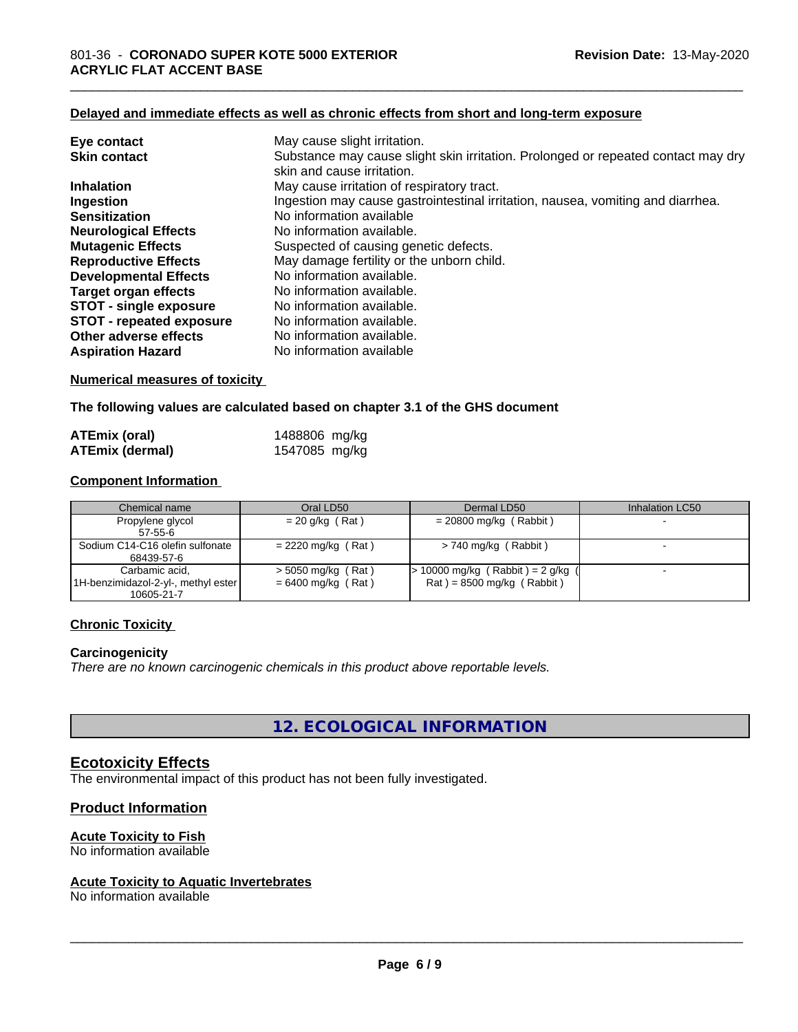#### **Delayed and immediate effects as well as chronic effects from short and long-term exposure**

| Eye contact                     | May cause slight irritation.                                                      |
|---------------------------------|-----------------------------------------------------------------------------------|
| <b>Skin contact</b>             | Substance may cause slight skin irritation. Prolonged or repeated contact may dry |
|                                 | skin and cause irritation.                                                        |
| <b>Inhalation</b>               | May cause irritation of respiratory tract.                                        |
| Ingestion                       | Ingestion may cause gastrointestinal irritation, nausea, vomiting and diarrhea.   |
| <b>Sensitization</b>            | No information available                                                          |
| <b>Neurological Effects</b>     | No information available.                                                         |
| <b>Mutagenic Effects</b>        | Suspected of causing genetic defects.                                             |
| <b>Reproductive Effects</b>     | May damage fertility or the unborn child.                                         |
| <b>Developmental Effects</b>    | No information available.                                                         |
| Target organ effects            | No information available.                                                         |
| <b>STOT - single exposure</b>   | No information available.                                                         |
| <b>STOT - repeated exposure</b> | No information available.                                                         |
| Other adverse effects           | No information available.                                                         |
| <b>Aspiration Hazard</b>        | No information available                                                          |

# **Numerical measures of toxicity**

**The following values are calculated based on chapter 3.1 of the GHS document**

| ATEmix (oral)          | 1488806 mg/kg |  |
|------------------------|---------------|--|
| <b>ATEmix (dermal)</b> | 1547085 mg/kg |  |

### **Component Information**

| Chemical name                       | Oral LD50            | Dermal LD50                         | Inhalation LC50 |
|-------------------------------------|----------------------|-------------------------------------|-----------------|
| Propylene glycol                    | $= 20$ g/kg (Rat)    | $= 20800$ mg/kg (Rabbit)            |                 |
| 57-55-6                             |                      |                                     |                 |
| Sodium C14-C16 olefin sulfonate     | $= 2220$ mg/kg (Rat) | $> 740$ mg/kg (Rabbit)              |                 |
| 68439-57-6                          |                      |                                     |                 |
| Carbamic acid,                      | $>$ 5050 mg/kg (Rat) | $> 10000$ mg/kg (Rabbit) = 2 g/kg ( |                 |
| 1H-benzimidazol-2-yl-, methyl ester | $= 6400$ mg/kg (Rat) | $Rat$ = 8500 mg/kg (Rabbit)         |                 |
| 10605-21-7                          |                      |                                     |                 |

# **Chronic Toxicity**

### **Carcinogenicity**

*There are no known carcinogenic chemicals in this product above reportable levels.*

**12. ECOLOGICAL INFORMATION**

# **Ecotoxicity Effects**

The environmental impact of this product has not been fully investigated.

### **Product Information**

# **Acute Toxicity to Fish**

No information available

### **Acute Toxicity to Aquatic Invertebrates**

No information available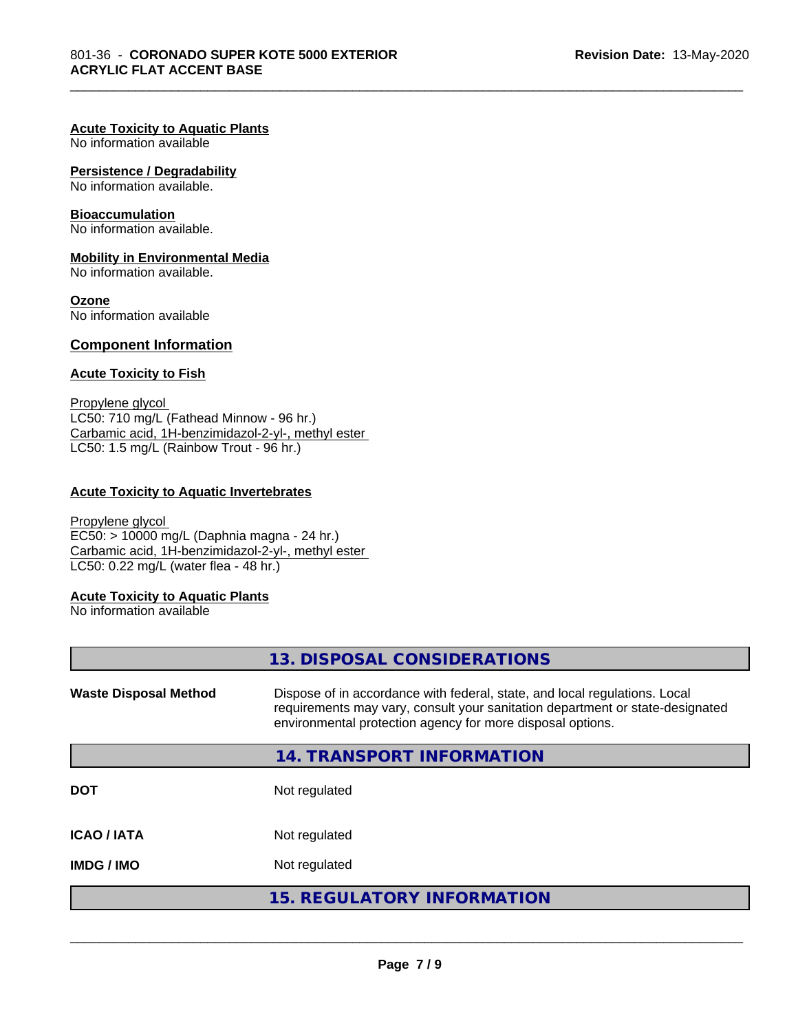\_\_\_\_\_\_\_\_\_\_\_\_\_\_\_\_\_\_\_\_\_\_\_\_\_\_\_\_\_\_\_\_\_\_\_\_\_\_\_\_\_\_\_\_\_\_\_\_\_\_\_\_\_\_\_\_\_\_\_\_\_\_\_\_\_\_\_\_\_\_\_\_\_\_\_\_\_\_\_\_\_\_\_\_\_\_\_\_\_\_\_\_\_

# **Acute Toxicity to Aquatic Plants**

No information available

# **Persistence / Degradability**

No information available.

# **Bioaccumulation**

No information available.

# **Mobility in Environmental Media**

No information available.

# **Ozone**

No information available

# **Component Information**

# **Acute Toxicity to Fish**

Propylene glycol LC50: 710 mg/L (Fathead Minnow - 96 hr.) Carbamic acid, 1H-benzimidazol-2-yl-, methyl ester LC50: 1.5 mg/L (Rainbow Trout - 96 hr.)

# **Acute Toxicity to Aquatic Invertebrates**

Propylene glycol EC50: > 10000 mg/L (Daphnia magna - 24 hr.) Carbamic acid, 1H-benzimidazol-2-yl-, methyl ester LC50: 0.22 mg/L (water flea - 48 hr.)

# **Acute Toxicity to Aquatic Plants**

No information available

|                              | 13. DISPOSAL CONSIDERATIONS                                                                                                                                                                                               |
|------------------------------|---------------------------------------------------------------------------------------------------------------------------------------------------------------------------------------------------------------------------|
| <b>Waste Disposal Method</b> | Dispose of in accordance with federal, state, and local regulations. Local<br>requirements may vary, consult your sanitation department or state-designated<br>environmental protection agency for more disposal options. |
|                              | 14. TRANSPORT INFORMATION                                                                                                                                                                                                 |
| <b>DOT</b>                   | Not regulated                                                                                                                                                                                                             |
| <b>ICAO/IATA</b>             | Not regulated                                                                                                                                                                                                             |
| <b>IMDG/IMO</b>              | Not regulated                                                                                                                                                                                                             |
|                              | <b>15. REGULATORY INFORMATION</b>                                                                                                                                                                                         |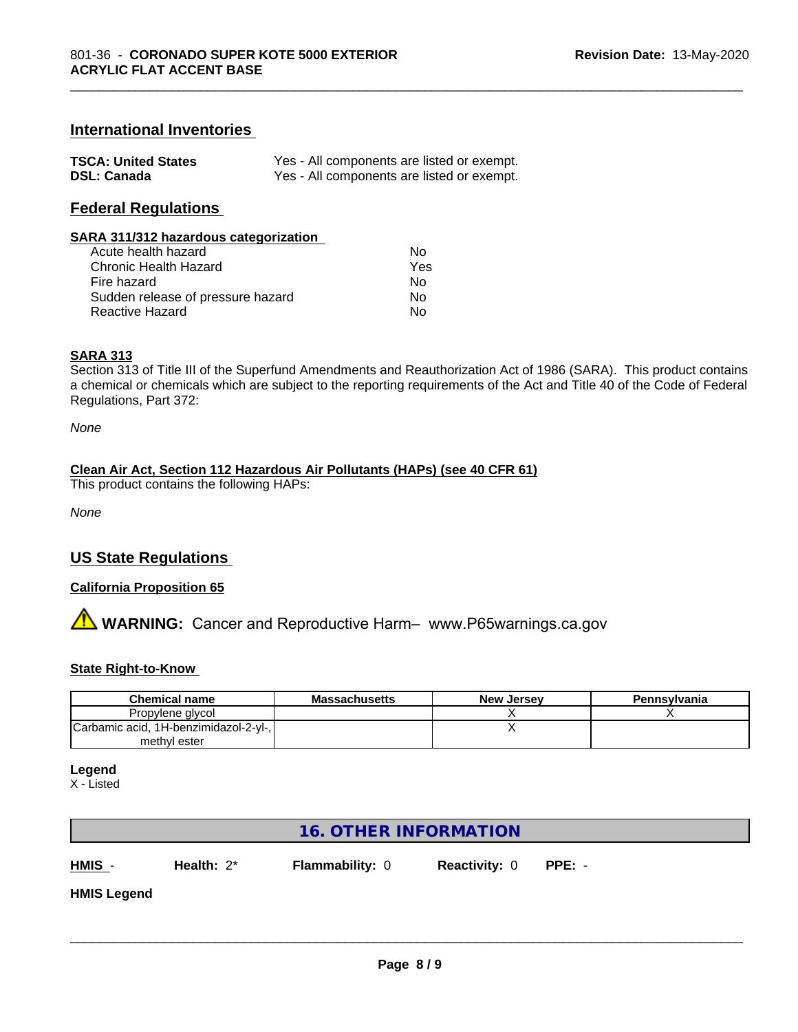# **International Inventories**

| <b>TSCA: United States</b> | Yes - All components are listed or exempt. |
|----------------------------|--------------------------------------------|
| <b>DSL: Canada</b>         | Yes - All components are listed or exempt. |

# **Federal Regulations**

#### **SARA 311/312 hazardous categorization**

| Acute health hazard               | N٥  |
|-----------------------------------|-----|
| Chronic Health Hazard             | Yes |
| Fire hazard                       | N٥  |
| Sudden release of pressure hazard | N٥  |
| Reactive Hazard                   | N٥  |

#### **SARA 313**

Section 313 of Title III of the Superfund Amendments and Reauthorization Act of 1986 (SARA). This product contains a chemical or chemicals which are subject to the reporting requirements of the Act and Title 40 of the Code of Federal Regulations, Part 372:

\_\_\_\_\_\_\_\_\_\_\_\_\_\_\_\_\_\_\_\_\_\_\_\_\_\_\_\_\_\_\_\_\_\_\_\_\_\_\_\_\_\_\_\_\_\_\_\_\_\_\_\_\_\_\_\_\_\_\_\_\_\_\_\_\_\_\_\_\_\_\_\_\_\_\_\_\_\_\_\_\_\_\_\_\_\_\_\_\_\_\_\_\_

*None*

# **Clean Air Act,Section 112 Hazardous Air Pollutants (HAPs) (see 40 CFR 61)**

This product contains the following HAPs:

*None*

# **US State Regulations**

# **California Proposition 65**

**AVIMARNING:** Cancer and Reproductive Harm– www.P65warnings.ca.gov

### **State Right-to-Know**

| <b>Chemical name</b>                  | <b>Massachusetts</b> | <b>New Jersey</b> | Pennsylvania |
|---------------------------------------|----------------------|-------------------|--------------|
| Propylene glycol                      |                      |                   |              |
| Carbamic acid, 1H-benzimidazol-2-yl-, |                      |                   |              |
| methyl ester                          |                      |                   |              |

#### **Legend**

X - Listed

# **16. OTHER INFORMATION**

**HMIS** - **Health:** 2\* **Flammability:** 0 **Reactivity:** 0 **PPE:** -

 $\overline{\phantom{a}}$  ,  $\overline{\phantom{a}}$  ,  $\overline{\phantom{a}}$  ,  $\overline{\phantom{a}}$  ,  $\overline{\phantom{a}}$  ,  $\overline{\phantom{a}}$  ,  $\overline{\phantom{a}}$  ,  $\overline{\phantom{a}}$  ,  $\overline{\phantom{a}}$  ,  $\overline{\phantom{a}}$  ,  $\overline{\phantom{a}}$  ,  $\overline{\phantom{a}}$  ,  $\overline{\phantom{a}}$  ,  $\overline{\phantom{a}}$  ,  $\overline{\phantom{a}}$  ,  $\overline{\phantom{a}}$ 

**HMIS Legend**